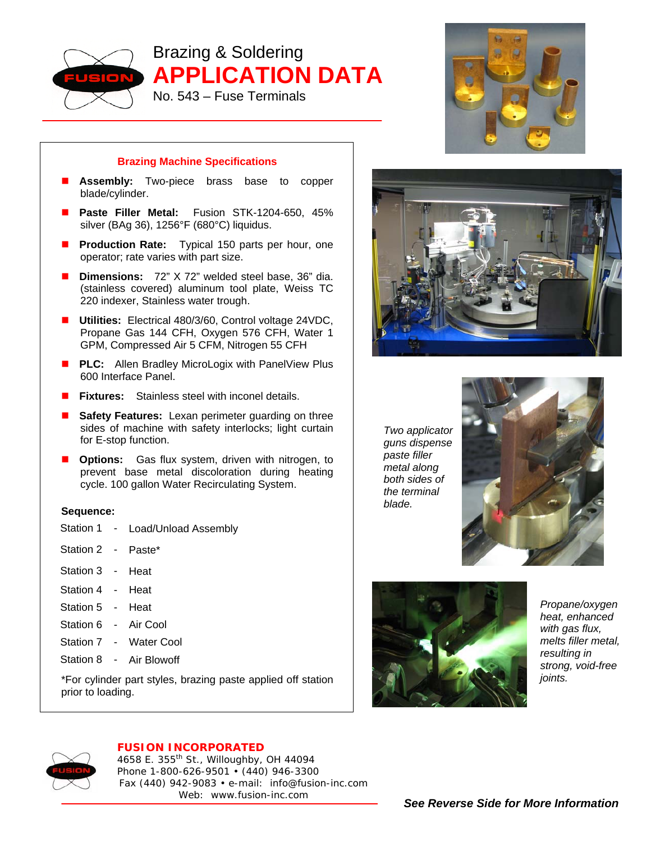

Brazing & Soldering **APPLICATION DATA**  No. 543 – Fuse Terminals



## **Brazing Machine Specifications**

- **Assembly:** Two-piece brass base to copper blade/cylinder.
- **Paste Filler Metal:** Fusion STK-1204-650, 45% silver (BAg 36), 1256°F (680°C) liquidus.
- **Production Rate:** Typical 150 parts per hour, one operator; rate varies with part size.
- **Dimensions:** 72" X 72" welded steel base, 36" dia. (stainless covered) aluminum tool plate, Weiss TC 220 indexer, Stainless water trough.
- **Utilities:** Electrical 480/3/60, Control voltage 24VDC, Propane Gas 144 CFH, Oxygen 576 CFH, Water 1 GPM, Compressed Air 5 CFM, Nitrogen 55 CFH
- **PLC:** Allen Bradley MicroLogix with PanelView Plus 600 Interface Panel.
- **Fixtures:** Stainless steel with inconel details.
- **Safety Features:** Lexan perimeter guarding on three sides of machine with safety interlocks; light curtain for E-stop function.
- **Department CALC** Cas flux system, driven with nitrogen, to prevent base metal discoloration during heating cycle. 100 gallon Water Recirculating System.

## **Sequence:**

- Station 1 Load/Unload Assembly
- Station 2 Paste\*
- Station 3 Heat
- Station 4 Heat
- Station 5 Heat
- Station 6 Air Cool
- Station 7 Water Cool
- Station 8 Air Blowoff

\*For cylinder part styles, brazing paste applied off station prior to loading.



*Two applicator guns dispense paste filler metal along both sides of the terminal blade.*





*Propane/oxygen heat, enhanced with gas flux, melts filler metal, resulting in strong, void-free joints.* 

## **FUSION INCORPORATED**